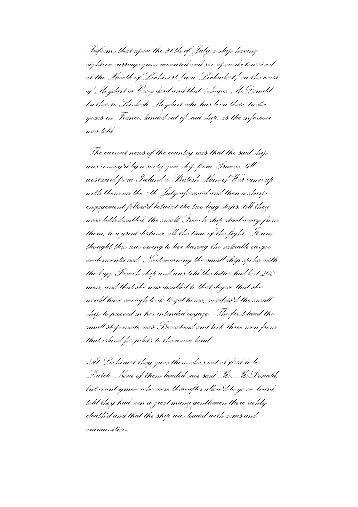*Informs that upon the 26th of July a ship having eighteen carriage guns mounted and six upon deck arrived at the Mouth of Lochinert [now Lochailort] on the coast of Moydart or Croy-dard and that Angus McDonald brother to Kinloch Moydart who has been these twelve years in France, landed out of said ship, as the informer was told.*

*The current news of the country was that the said ship was convoy'd by a sixty gun ship from France, till westward from Ireland a British Man of War came up with them on the 8th July aforesaid and then a sharpe engagement follow'd betwixt the two bigg ships, till they were both disabled; the small French ship stood away from them, to a great distance all the time of the fight. It was thought this was owing to her having the valuable cargoe undermentioned. Next morning the small ship spoke with the bigg French ship and was told the latter had lost 200 men, and that she was disabled to that degree that she would have enough to do to get home, so advis'd the small ship to proceed in her intended voyage. The first land the small ship made was Berrahead and took three men from that island for pilots to the main land.*

*At Lochinert they gave themselves out at first to be Dutch. None of them landed save said Mr. McDonald, but countrymen who were thereafter allow'd to go on board, told they had seen a great many gentlemen there richly cloath'd and that the ship was loaded with arms and ammunition.*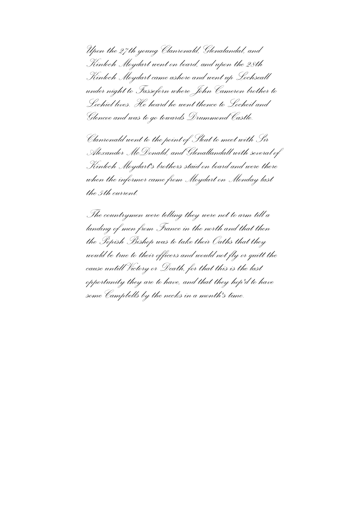*Upon the 27th young Clanronald, Glenalandal, and Kinloch Moydart went on board, and upon the 28th Kinloch Moydart came ashore and went up Lochseall under night to Fassefern where John Cameron brother to Lochiel lives. He heard he went thence to Locheil and Glencoe and was to go towards Drummond Castle.*

*Clanronald went to the point of Sleat to meet with Sir Alexander McDonald, and Glenallandall with several of Kinloch Moydart's brothers staid on board and were there when the informer came from Moydart on Monday last the 5th current.* 

*The countrymen were telling they were not to arm till a landing of men from France in the north and that then the Popish Bishop was to take their Oaths that they would be true to their officers and would not fly or quitt the cause untill Victory or Death, for that this is the last opportunity they are to have, and that they hop'd to have some Campbells by the necks in a month's time.*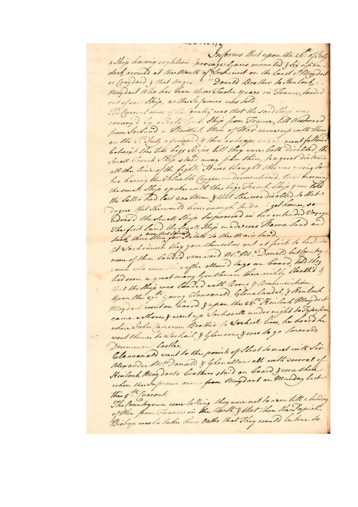Informs that upon the 26: of the a Ship having eighteen arriage hans mounted & dix upon deck arrived at the Month of Corpinest on the load of Hoyder or Groydand & that Anger . Donald Brother do Sentorte Moy out Who has been these Tweeve years in Trance landed out ofsaidhip, as the Supermer who bold. The furrent news of the ountry was that the said their war convoy'd by adicty full Ship from Trance, till Westward from Ireland a Brittish Man of Har come up with them on the 8. laly a formaid & then as lappe engage ment follow beloight the two bigg Ships, till they were both discbled, the Small French Ship stood away from them, hagreal distan. all the time of the fight, Here's thought this was evering her having the Valuable Cargar undermentions. Per harmin the small Ship spoke with the bigg Trench Ship your told the latter had lost 200 Men & that She was disabled to that Degree that the would have enough to do get home, to Dois the Small Ship to proceed in her entended loyage The first land the Small They made was Barra head and Joch three thinger Dilate to the Main land. at Socherences they gave themselves out at first to be Duten none of them landed vaccined AV. All. Donald but fourty men who were the eight allowed lags on board, told they had seen a great many Gentlemen thousandly thathed & that the Ship was loaded with liver & Ummunition. Upon the 27 " young Clausonal, Glenalandal, & Reinboch Moydant went on board, gepon the 28. Heiloch May dart came a those & went up Vochseals under night to Japapers where John Cameron Brother to Sochiel lives, he heard he went theme to sochail & Glomeoce y was to go towards Drummon Culles. Claroonald went to the point of Sleat to meet with Sir blex under the Donald & Glenalland all with several of Hinlack May dorts brothers staid on board Jesere thou when the Informer come from Maydart on Manday last the 5th Current. The fountrymen were letting they were not to arm till a lending of then from France in the Worth, & that then the Jopish Bishop was to take their Oaths that They would be hue to